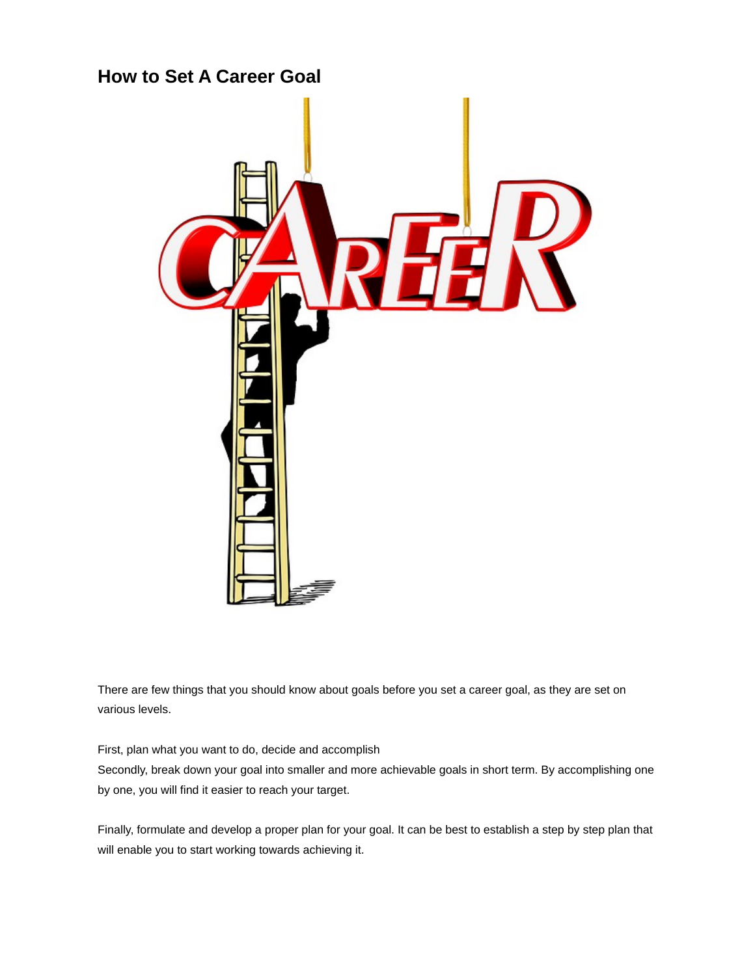

There are few things that you should know about goals before you set a career goal, as they are set on various levels.

First, plan what you want to do, decide and accomplish

Secondly, break down your goal into smaller and more achievable goals in short term. By accomplishing one by one, you will find it easier to reach your target.

Finally, formulate and develop a proper plan for your goal. It can be best to establish a step by step plan that will enable you to start working towards achieving it.